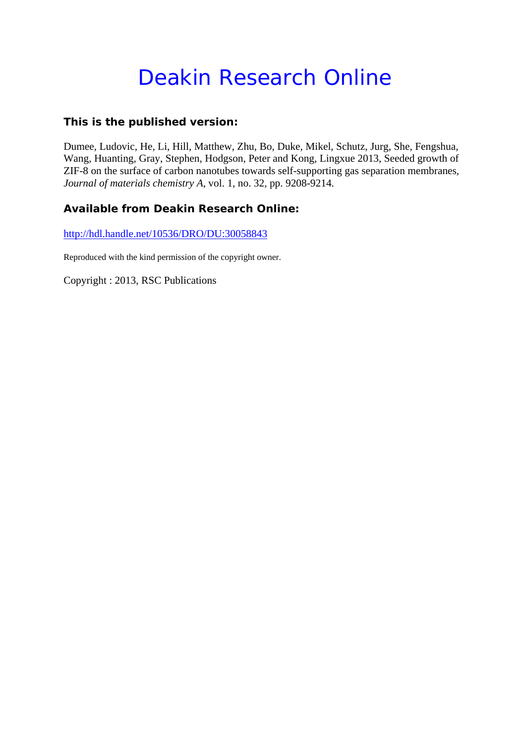# Deakin Research Online

## **This is the published version:**

Dumee, Ludovic, He, Li, Hill, Matthew, Zhu, Bo, Duke, Mikel, Schutz, Jurg, She, Fengshua, Wang, Huanting, Gray, Stephen, Hodgson, Peter and Kong, Lingxue 2013, Seeded growth of ZIF-8 on the surface of carbon nanotubes towards self-supporting gas separation membranes*, Journal of materials chemistry A*, vol. 1, no. 32, pp. 9208-9214.

## **Available from Deakin Research Online:**

http://hdl.handle.net/10536/DRO/DU:30058843

Reproduced with the kind permission of the copyright owner.

Copyright : 2013, RSC Publications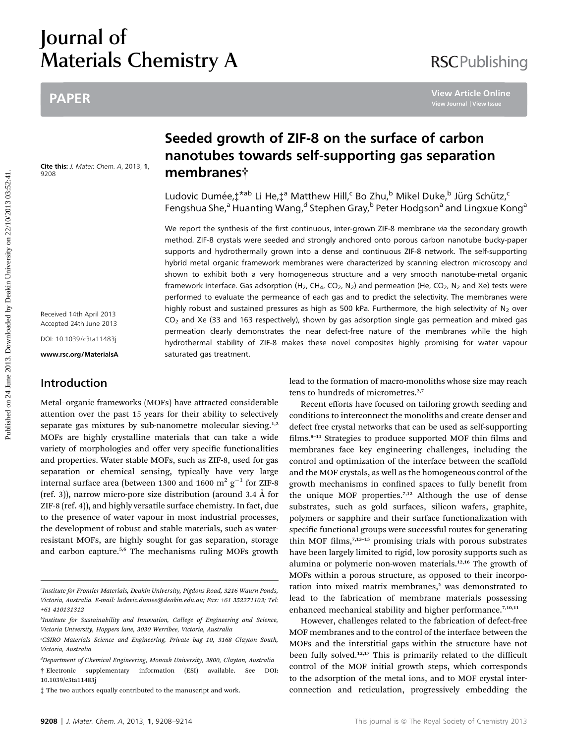# Journal of Materials Chemistry A

# PAPER

Cite this: J. Mater. Chem. A, 2013, 1, 9208

Received 14th April 2013 Accepted 24th June 2013 DOI: 10.1039/c3ta11483j

www.rsc.org/MaterialsA

### Introduction

Metal–organic frameworks (MOFs) have attracted considerable attention over the past 15 years for their ability to selectively separate gas mixtures by sub-nanometre molecular sieving.<sup>1,2</sup> MOFs are highly crystalline materials that can take a wide variety of morphologies and offer very specific functionalities and properties. Water stable MOFs, such as ZIF-8, used for gas separation or chemical sensing, typically have very large internal surface area (between 1300 and 1600  $\text{m}^2$  g<sup>-1</sup> for ZIF-8 (ref. 3)), narrow micro-pore size distribution (around 3.4  $\AA$  for ZIF-8 (ref. 4)), and highly versatile surface chemistry. In fact, due to the presence of water vapour in most industrial processes, the development of robust and stable materials, such as waterresistant MOFs, are highly sought for gas separation, storage and carbon capture.<sup>5,6</sup> The mechanisms ruling MOFs growth

# Seeded growth of ZIF-8 on the surface of carbon nanotubes towards self-supporting gas separation membranes†

Ludovic Dumée, $\ddagger^{*ab}$  Li He, $\ddagger^{a}$  Matthew Hill,<sup>c</sup> Bo Zhu,<sup>b</sup> Mikel Duke,<sup>b</sup> Jürg Schütz,<sup>c</sup> Fengshua She,<sup>a</sup> Huanting Wang,<sup>d</sup> Stephen Gray,<sup>b</sup> Peter Hodgson<sup>a</sup> and Lingxue Kong<sup>a</sup>

We report the synthesis of the first continuous, inter-grown ZIF-8 membrane via the secondary growth method. ZIF-8 crystals were seeded and strongly anchored onto porous carbon nanotube bucky-paper supports and hydrothermally grown into a dense and continuous ZIF-8 network. The self-supporting hybrid metal organic framework membranes were characterized by scanning electron microscopy and shown to exhibit both a very homogeneous structure and a very smooth nanotube-metal organic framework interface. Gas adsorption (H<sub>2</sub>, CH<sub>4</sub>, CO<sub>2</sub>, N<sub>2</sub>) and permeation (He, CO<sub>2</sub>, N<sub>2</sub> and Xe) tests were performed to evaluate the permeance of each gas and to predict the selectivity. The membranes were highly robust and sustained pressures as high as 500 kPa. Furthermore, the high selectivity of  $N_2$  over  $CO<sub>2</sub>$  and Xe (33 and 163 respectively), shown by gas adsorption single gas permeation and mixed gas permeation clearly demonstrates the near defect-free nature of the membranes while the high hydrothermal stability of ZIF-8 makes these novel composites highly promising for water vapour saturated gas treatment. PAPER<br> **Seeded growth of ZIF-8 on the surface of carbon**<br> **manotubes towards self-supporting gas separation**<br> **Manotubes towards self-supporting gas separation**<br> **We are the surface of the surface of the surface of the sur** 

lead to the formation of macro-monoliths whose size may reach tens to hundreds of micrometres.<sup>2,7</sup>

Recent efforts have focused on tailoring growth seeding and conditions to interconnect the monoliths and create denser and defect free crystal networks that can be used as self-supporting films. $8-11$  Strategies to produce supported MOF thin films and membranes face key engineering challenges, including the control and optimization of the interface between the scaffold and the MOF crystals, as well as the homogeneous control of the growth mechanisms in confined spaces to fully benefit from the unique MOF properties.<sup>7,12</sup> Although the use of dense substrates, such as gold surfaces, silicon wafers, graphite, polymers or sapphire and their surface functionalization with specific functional groups were successful routes for generating thin MOF films, $7,13-15$  promising trials with porous substrates have been largely limited to rigid, low porosity supports such as alumina or polymeric non-woven materials.<sup>12,16</sup> The growth of MOFs within a porous structure, as opposed to their incorporation into mixed matrix membranes,<sup>2</sup> was demonstrated to lead to the fabrication of membrane materials possessing enhanced mechanical stability and higher performance.<sup>7,10,11</sup>

However, challenges related to the fabrication of defect-free MOF membranes and to the control of the interface between the MOFs and the interstitial gaps within the structure have not been fully solved.<sup>12,17</sup> This is primarily related to the difficult control of the MOF initial growth steps, which corresponds to the adsorption of the metal ions, and to MOF crystal interconnection and reticulation, progressively embedding the

a Institute for Frontier Materials, Deakin University, Pigdons Road, 3216 Waurn Ponds, Victoria, Australia. E-mail: ludovic.dumee@deakin.edu.au; Fax: +61 352271103; Tel: +61 410131312

<sup>&</sup>lt;sup>b</sup>Institute for Sustainability and Innovation, College of Engineering and Science, Victoria University, Hoppers lane, 3030 Werribee, Victoria, Australia

c CSIRO Materials Science and Engineering, Private bag 10, 3168 Clayton South, Victoria, Australia

d Department of Chemical Engineering, Monash University, 3800, Clayton, Australia † Electronic supplementary information (ESI) available. See DOI: 10.1039/c3ta11483j

<sup>‡</sup> The two authors equally contributed to the manuscript and work.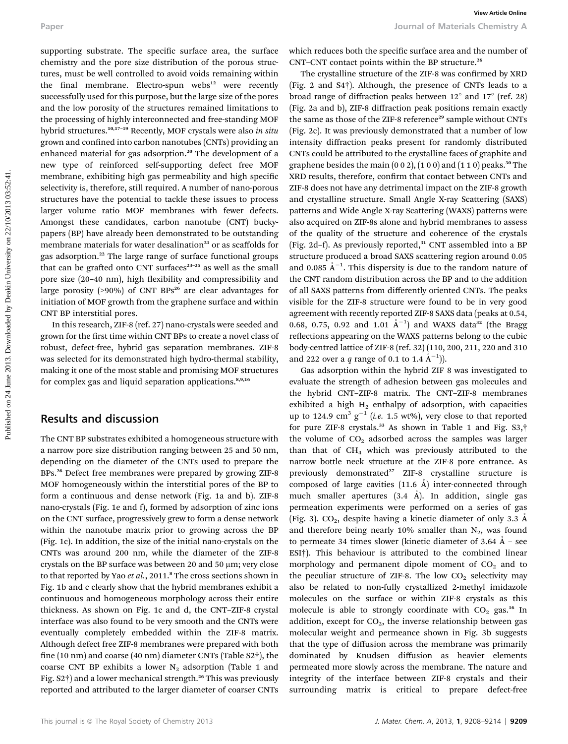supporting substrate. The specific surface area, the surface chemistry and the pore size distribution of the porous structures, must be well controlled to avoid voids remaining within the final membrane. Electro-spun webs<sup>12</sup> were recently successfully used for this purpose, but the large size of the pores and the low porosity of the structures remained limitations to the processing of highly interconnected and free-standing MOF hybrid structures.<sup>10,17-19</sup> Recently, MOF crystals were also in situ grown and confined into carbon nanotubes (CNTs) providing an enhanced material for gas adsorption.<sup>20</sup> The development of a new type of reinforced self-supporting defect free MOF membrane, exhibiting high gas permeability and high specific selectivity is, therefore, still required. A number of nano-porous structures have the potential to tackle these issues to process larger volume ratio MOF membranes with fewer defects. Amongst these candidates, carbon nanotube (CNT) buckypapers (BP) have already been demonstrated to be outstanding membrane materials for water desalination<sup>21</sup> or as scaffolds for gas adsorption.<sup>22</sup> The large range of surface functional groups that can be grafted onto CNT surfaces $23-25$  as well as the small pore size (20-40 nm), high flexibility and compressibility and large porosity ( $>90\%$ ) of CNT BPs<sup>26</sup> are clear advantages for initiation of MOF growth from the graphene surface and within CNT BP interstitial pores.

In this research, ZIF-8 (ref. 27) nano-crystals were seeded and grown for the first time within CNT BPs to create a novel class of robust, defect-free, hybrid gas separation membranes. ZIF-8 was selected for its demonstrated high hydro-thermal stability, making it one of the most stable and promising MOF structures for complex gas and liquid separation applications.<sup>8,9,16</sup>

#### Results and discussion

The CNT BP substrates exhibited a homogeneous structure with a narrow pore size distribution ranging between 25 and 50 nm, depending on the diameter of the CNTs used to prepare the BPs.<sup>26</sup> Defect free membranes were prepared by growing ZIF-8 MOF homogeneously within the interstitial pores of the BP to form a continuous and dense network (Fig. 1a and b). ZIF-8 nano-crystals (Fig. 1e and f), formed by adsorption of zinc ions on the CNT surface, progressively grew to form a dense network within the nanotube matrix prior to growing across the BP (Fig. 1c). In addition, the size of the initial nano-crystals on the CNTs was around 200 nm, while the diameter of the ZIF-8 crystals on the BP surface was between 20 and 50  $\mu$ m; very close to that reported by Yao et al., 2011.<sup>8</sup> The cross sections shown in Fig. 1b and c clearly show that the hybrid membranes exhibit a continuous and homogeneous morphology across their entire thickness. As shown on Fig. 1c and d, the CNT–ZIF-8 crystal interface was also found to be very smooth and the CNTs were eventually completely embedded within the ZIF-8 matrix. Although defect free ZIF-8 membranes were prepared with both fine (10 nm) and coarse (40 nm) diameter CNTs (Table S2 $\dagger$ ), the coarse CNT BP exhibits a lower  $N_2$  adsorption (Table 1 and Fig. S2†) and a lower mechanical strength.<sup>26</sup> This was previously reported and attributed to the larger diameter of coarser CNTs

which reduces both the specific surface area and the number of CNT–CNT contact points within the BP structure.<sup>26</sup>

The crystalline structure of the ZIF-8 was confirmed by XRD (Fig. 2 and S4†). Although, the presence of CNTs leads to a broad range of diffraction peaks between  $12^{\circ}$  and  $17^{\circ}$  (ref. 28) (Fig. 2a and b), ZIF-8 diffraction peak positions remain exactly the same as those of the ZIF-8 reference<sup>29</sup> sample without CNTs (Fig. 2c). It was previously demonstrated that a number of low intensity diffraction peaks present for randomly distributed CNTs could be attributed to the crystalline faces of graphite and graphene besides the main  $(0 0 2)$ ,  $(1 0 0)$  and  $(1 1 0)$  peaks.<sup>30</sup> The XRD results, therefore, confirm that contact between CNTs and ZIF-8 does not have any detrimental impact on the ZIF-8 growth and crystalline structure. Small Angle X-ray Scattering (SAXS) patterns and Wide Angle X-ray Scattering (WAXS) patterns were also acquired on ZIF-8s alone and hybrid membranes to assess of the quality of the structure and coherence of the crystals (Fig. 2d–f). As previously reported, $31$  CNT assembled into a BP structure produced a broad SAXS scattering region around 0.05 and 0.085  $\AA^{-1}$ . This dispersity is due to the random nature of the CNT random distribution across the BP and to the addition of all SAXS patterns from differently oriented CNTs. The peaks visible for the ZIF-8 structure were found to be in very good agreement with recently reported ZIF-8 SAXS data (peaks at 0.54, 0.68, 0.75, 0.92 and 1.01  $\AA^{-1}$ ) and WAXS data<sup>32</sup> (the Bragg reflections appearing on the WAXS patterns belong to the cubic body-centred lattice of ZIF-8 (ref. 32) (110, 200, 211, 220 and 310 and 222 over a q range of 0.1 to 1.4  $\AA^{-1}$ )). Puper<br>
supporting substrate. The specific surface one the surface which reduces both the specific surface area on the heuring and<br>
considers and the process of the specific on 2013. Only the specific on 242 on 242 on 242 o

Gas adsorption within the hybrid ZIF 8 was investigated to evaluate the strength of adhesion between gas molecules and the hybrid CNT–ZIF-8 matrix. The CNT–ZIF-8 membranes exhibited a high  $H_2$  enthalpy of adsorption, with capacities up to 124.9  $\text{cm}^3 \text{ g}^{-1}$  (i.e. 1.5 wt%), very close to that reported for pure ZIF-8 crystals.<sup>33</sup> As shown in Table 1 and Fig. S3,<sup>†</sup> the volume of  $CO<sub>2</sub>$  adsorbed across the samples was larger than that of  $CH<sub>4</sub>$  which was previously attributed to the narrow bottle neck structure at the ZIF-8 pore entrance. As previously demonstrated<sup>27</sup> ZIF-8 crystalline structure is composed of large cavities  $(11.6 \text{ Å})$  inter-connected through much smaller apertures  $(3.4 \text{ Å})$ . In addition, single gas permeation experiments were performed on a series of gas (Fig. 3).  $CO<sub>2</sub>$ , despite having a kinetic diameter of only 3.3 Å and therefore being nearly 10% smaller than  $N_2$ , was found to permeate 34 times slower (kinetic diameter of  $3.64 \text{ Å}$  – see ESI†). This behaviour is attributed to the combined linear morphology and permanent dipole moment of  $CO<sub>2</sub>$  and to the peculiar structure of ZIF-8. The low  $CO<sub>2</sub>$  selectivity may also be related to non-fully crystallized 2-methyl imidazole molecules on the surface or within ZIF-8 crystals as this molecule is able to strongly coordinate with  $CO<sub>2</sub>$  gas.<sup>16</sup> In addition, except for  $CO<sub>2</sub>$ , the inverse relationship between gas molecular weight and permeance shown in Fig. 3b suggests that the type of diffusion across the membrane was primarily dominated by Knudsen diffusion as heavier elements permeated more slowly across the membrane. The nature and integrity of the interface between ZIF-8 crystals and their surrounding matrix is critical to prepare defect-free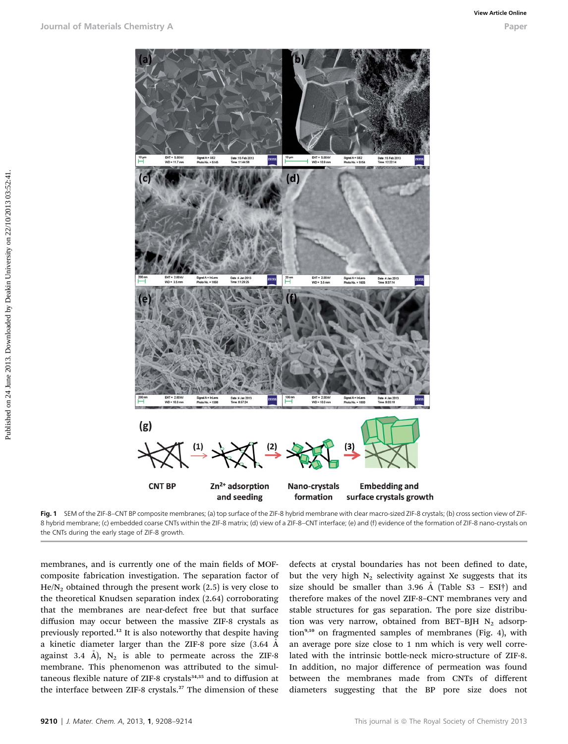

Fig. 1 SEM of the ZIF-8–CNT BP composite membranes; (a) top surface of the ZIF-8 hybrid membrane with clear macro-sized ZIF-8 crystals; (b) cross section view of ZIF-8 hybrid membrane; (c) embedded coarse CNTs within the ZIF-8 matrix; (d) view of a ZIF-8–CNT interface; (e) and (f) evidence of the formation of ZIF-8 nano-crystals on the CNTs during the early stage of ZIF-8 growth.

membranes, and is currently one of the main fields of MOFcomposite fabrication investigation. The separation factor of  $He/N<sub>2</sub>$  obtained through the present work (2.5) is very close to the theoretical Knudsen separation index (2.64) corroborating that the membranes are near-defect free but that surface diffusion may occur between the massive ZIF-8 crystals as previously reported.<sup>12</sup> It is also noteworthy that despite having a kinetic diameter larger than the ZIF-8 pore size (3.64 A˚ against 3.4 Å),  $N_2$  is able to permeate across the ZIF-8 membrane. This phenomenon was attributed to the simultaneous flexible nature of ZIF-8 crystals<sup>34,35</sup> and to diffusion at the interface between ZIF-8 crystals.<sup>27</sup> The dimension of these

defects at crystal boundaries has not been defined to date, but the very high  $N_2$  selectivity against Xe suggests that its size should be smaller than 3.96  $\AA$  (Table S3 – ESI†) and therefore makes of the novel ZIF-8–CNT membranes very and stable structures for gas separation. The pore size distribution was very narrow, obtained from BET-BJH  $N_2$  adsorp $tion<sup>9,10</sup>$  on fragmented samples of membranes (Fig. 4), with an average pore size close to 1 nm which is very well correlated with the intrinsic bottle-neck micro-structure of ZIF-8. In addition, no major difference of permeation was found between the membranes made from CNTs of different diameters suggesting that the BP pore size does not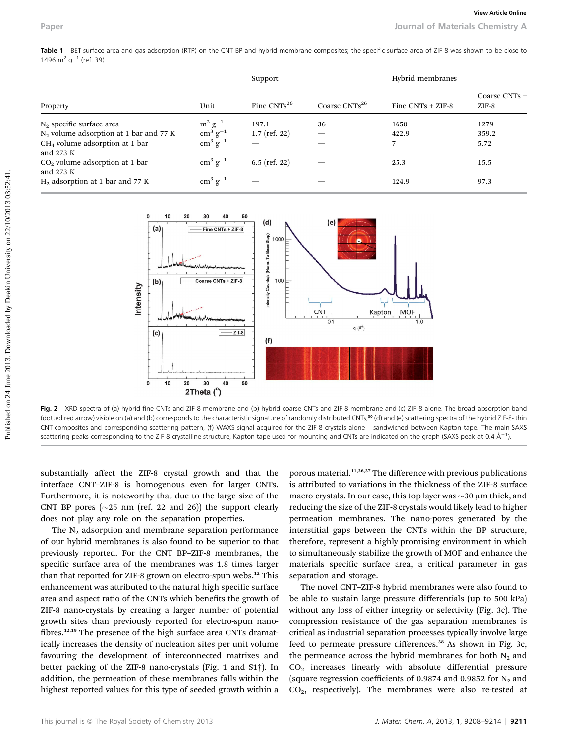Table 1 BET surface area and gas adsorption (RTP) on the CNT BP and hybrid membrane composites; the specific surface area of ZIF-8 was shown to be close to 1496 m<sup>2</sup> g<sup>-1</sup> (ref. 39)

| Property                                        | Unit                                                                     | Support          |                           | Hybrid membranes    |                          |
|-------------------------------------------------|--------------------------------------------------------------------------|------------------|---------------------------|---------------------|--------------------------|
|                                                 |                                                                          | Fine $CNTs^{26}$ | Coarse CNTs <sup>26</sup> | Fine $CNTs + ZIF-8$ | Coarse CNTs +<br>$ZIF-8$ |
| $N_2$ specific surface area                     |                                                                          | 197.1            | 36                        | 1650                | 1279                     |
| $N_2$ volume adsorption at 1 bar and 77 K       |                                                                          | $1.7$ (ref. 22)  |                           | 422.9               | 359.2                    |
| $CH4$ volume adsorption at 1 bar<br>and $273 K$ | $\begin{array}{c} m^2\,g^{-1}\\ cm^3\,g^{-1}\\ cm^3\,g^{-1} \end{array}$ |                  |                           | 7                   | 5.72                     |
| $CO2$ volume adsorption at 1 bar<br>and $273 K$ | $\text{cm}^3 \text{ g}^{-1}$                                             | $6.5$ (ref. 22)  |                           | 25.3                | 15.5                     |
| $H_2$ adsorption at 1 bar and 77 K              | $\rm cm^3~g^{-1}$                                                        |                  |                           | 124.9               | 97.3                     |



Fig. 2 XRD spectra of (a) hybrid fine CNTs and ZIF-8 membrane and (b) hybrid coarse CNTs and ZIF-8 membrane and (c) ZIF-8 alone. The broad absorption band (dotted red arrow) visible on (a) and (b) corresponds to the characteristic signature of randomly distributed CNTs;<sup>30</sup> (d) and (e) scattering spectra of the hybrid ZIF-8- thin CNT composites and corresponding scattering pattern, (f) WAXS signal acquired for the ZIF-8 crystals alone – sandwiched between Kapton tape. The main SAXS scattering peaks corresponding to the ZIF-8 crystalline structure, Kapton tape used for mounting and CNTs are indicated on the graph (SAXS peak at 0.4 Å<sup>-1</sup>).

substantially affect the ZIF-8 crystal growth and that the interface CNT–ZIF-8 is homogenous even for larger CNTs. Furthermore, it is noteworthy that due to the large size of the CNT BP pores  $(\sim 25 \text{ nm (ref. 22 and 26)})$  the support clearly does not play any role on the separation properties.

The  $N_2$  adsorption and membrane separation performance of our hybrid membranes is also found to be superior to that previously reported. For the CNT BP–ZIF-8 membranes, the specific surface area of the membranes was 1.8 times larger than that reported for ZIF-8 grown on electro-spun webs.<sup>12</sup> This enhancement was attributed to the natural high specific surface area and aspect ratio of the CNTs which benefits the growth of ZIF-8 nano-crystals by creating a larger number of potential growth sites than previously reported for electro-spun nano fibres.<sup>12,19</sup> The presence of the high surface area CNTs dramatically increases the density of nucleation sites per unit volume favouring the development of interconnected matrixes and better packing of the ZIF-8 nano-crystals (Fig. 1 and S1†). In addition, the permeation of these membranes falls within the highest reported values for this type of seeded growth within a

porous material.<sup>11,36,37</sup> The difference with previous publications is attributed to variations in the thickness of the ZIF-8 surface macro-crystals. In our case, this top layer was  $\sim$ 30  $\mu$ m thick, and reducing the size of the ZIF-8 crystals would likely lead to higher permeation membranes. The nano-pores generated by the interstitial gaps between the CNTs within the BP structure, therefore, represent a highly promising environment in which to simultaneously stabilize the growth of MOF and enhance the materials specific surface area, a critical parameter in gas separation and storage.

The novel CNT–ZIF-8 hybrid membranes were also found to be able to sustain large pressure differentials (up to 500 kPa) without any loss of either integrity or selectivity (Fig. 3c). The compression resistance of the gas separation membranes is critical as industrial separation processes typically involve large feed to permeate pressure differences.<sup>38</sup> As shown in Fig. 3c, the permeance across the hybrid membranes for both  $N_2$  and  $CO<sub>2</sub>$  increases linearly with absolute differential pressure (square regression coefficients of 0.9874 and 0.9852 for  $N_2$  and CO2, respectively). The membranes were also re-tested at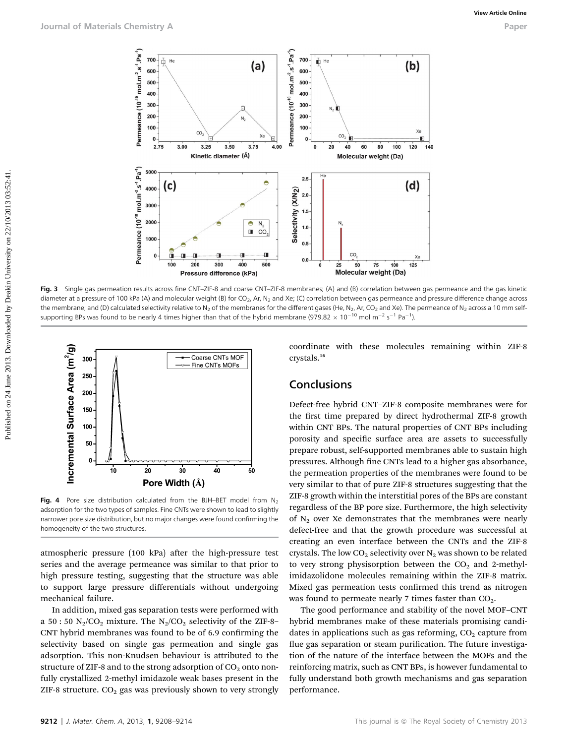

Fig. 3 Single gas permeation results across fine CNT–ZIF-8 and coarse CNT–ZIF-8 membranes; (A) and (B) correlation between gas permeance and the gas kinetic diameter at a pressure of 100 kPa (A) and molecular weight (B) for CO<sub>2</sub>, Ar, N<sub>2</sub> and Xe; (C) correlation between gas permeance and pressure difference change across the membrane; and (D) calculated selectivity relative to N<sub>2</sub> of the membranes for the different gases (He, N<sub>2</sub>, Ar, CO<sub>2</sub> and Xe). The permeance of N<sub>2</sub> across a 10 mm selfsupporting BPs was found to be nearly 4 times higher than that of the hybrid membrane (979.82  $\times$  10<sup>-10</sup> mol m<sup>-2</sup> s<sup>-1</sup> Pa<sup>-1</sup>).



Fig. 4 Pore size distribution calculated from the BJH-BET model from  $N_2$ adsorption for the two types of samples. Fine CNTs were shown to lead to slightly narrower pore size distribution, but no major changes were found confirming the homogeneity of the two structures.

atmospheric pressure (100 kPa) after the high-pressure test series and the average permeance was similar to that prior to high pressure testing, suggesting that the structure was able to support large pressure differentials without undergoing mechanical failure.

In addition, mixed gas separation tests were performed with a 50 : 50  $N_2/CO_2$  mixture. The  $N_2/CO_2$  selectivity of the ZIF-8-CNT hybrid membranes was found to be of 6.9 confirming the selectivity based on single gas permeation and single gas adsorption. This non-Knudsen behaviour is attributed to the structure of ZIF-8 and to the strong adsorption of  $CO<sub>2</sub>$  onto nonfully crystallized 2-methyl imidazole weak bases present in the ZIF-8 structure.  $CO<sub>2</sub>$  gas was previously shown to very strongly

coordinate with these molecules remaining within ZIF-8 crystals.<sup>16</sup>

#### Conclusions

Defect-free hybrid CNT–ZIF-8 composite membranes were for the first time prepared by direct hydrothermal ZIF-8 growth within CNT BPs. The natural properties of CNT BPs including porosity and specific surface area are assets to successfully prepare robust, self-supported membranes able to sustain high pressures. Although fine CNTs lead to a higher gas absorbance, the permeation properties of the membranes were found to be very similar to that of pure ZIF-8 structures suggesting that the ZIF-8 growth within the interstitial pores of the BPs are constant regardless of the BP pore size. Furthermore, the high selectivity of  $N_2$  over Xe demonstrates that the membranes were nearly defect-free and that the growth procedure was successful at creating an even interface between the CNTs and the ZIF-8 crystals. The low  $CO_2$  selectivity over  $N_2$  was shown to be related to very strong physisorption between the  $CO<sub>2</sub>$  and 2-methylimidazolidone molecules remaining within the ZIF-8 matrix. Mixed gas permeation tests confirmed this trend as nitrogen was found to permeate nearly 7 times faster than  $CO<sub>2</sub>$ .

The good performance and stability of the novel MOF–CNT hybrid membranes make of these materials promising candidates in applications such as gas reforming,  $CO<sub>2</sub>$  capture from flue gas separation or steam purification. The future investigation of the nature of the interface between the MOFs and the reinforcing matrix, such as CNT BPs, is however fundamental to fully understand both growth mechanisms and gas separation performance.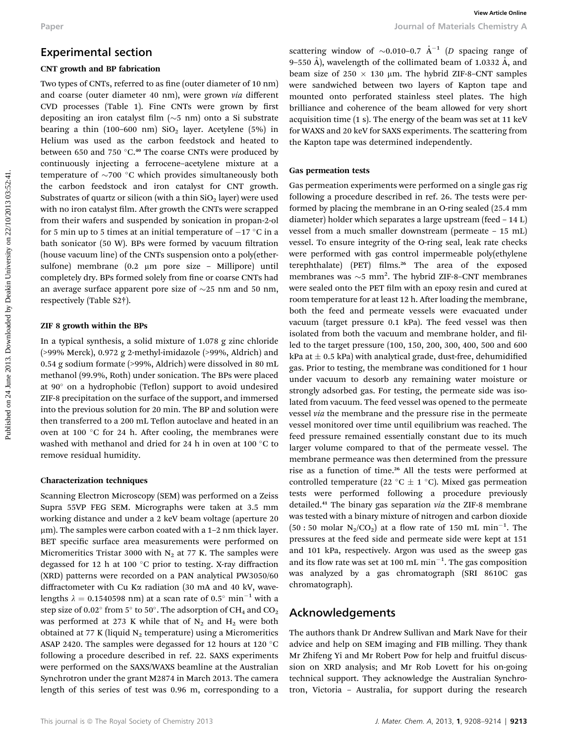#### Experimental section

#### CNT growth and BP fabrication

Two types of CNTs, referred to as fine (outer diameter of 10 nm) and coarse (outer diameter 40 nm), were grown via different CVD processes (Table 1). Fine CNTs were grown by first depositing an iron catalyst film  $(\sim 5 \text{ nm})$  onto a Si substrate bearing a thin (100-600 nm)  $SiO<sub>2</sub>$  layer. Acetylene (5%) in Helium was used as the carbon feedstock and heated to between 650 and 750  $^{\circ}$ C.<sup>40</sup> The coarse CNTs were produced by continuously injecting a ferrocene–acetylene mixture at a temperature of  $\sim$ 700 °C which provides simultaneously both the carbon feedstock and iron catalyst for CNT growth. Substrates of quartz or silicon (with a thin  $SiO<sub>2</sub>$  layer) were used with no iron catalyst film. After growth the CNTs were scrapped from their wafers and suspended by sonication in propan-2-ol for 5 min up to 5 times at an initial temperature of  $-17$  °C in a bath sonicator (50 W). BPs were formed by vacuum filtration (house vacuum line) of the CNTs suspension onto a poly(ethersulfone) membrane (0.2 μm pore size - Millipore) until completely dry. BPs formed solely from fine or coarse CNTs had an average surface apparent pore size of  $\sim$ 25 nm and 50 nm, respectively (Table S2†).

#### ZIF 8 growth within the BPs

In a typical synthesis, a solid mixture of 1.078 g zinc chloride (>99% Merck), 0.972 g 2-methyl-imidazole (>99%, Aldrich) and 0.54 g sodium formate (>99%, Aldrich) were dissolved in 80 mL methanol (99.9%, Roth) under sonication. The BPs were placed at  $90^\circ$  on a hydrophobic (Teflon) support to avoid undesired ZIF-8 precipitation on the surface of the support, and immersed into the previous solution for 20 min. The BP and solution were then transferred to a 200 mL Teflon autoclave and heated in an oven at 100  $^{\circ}$ C for 24 h. After cooling, the membranes were washed with methanol and dried for 24 h in oven at 100 $\degree$ C to remove residual humidity.

#### Characterization techniques

Scanning Electron Microscopy (SEM) was performed on a Zeiss Supra 55VP FEG SEM. Micrographs were taken at 3.5 mm working distance and under a 2 keV beam voltage (aperture 20 µm). The samples were carbon coated with a 1-2 nm thick layer. BET specific surface area measurements were performed on Micromeritics Tristar 3000 with  $N_2$  at 77 K. The samples were degassed for 12 h at 100 $^{\circ}$ C prior to testing. X-ray diffraction (XRD) patterns were recorded on a PAN analytical PW3050/60 diffractometer with Cu Ka radiation (30 mA and 40 kV, wavelengths  $\lambda = 0.1540598$  nm) at a scan rate of 0.5° min<sup>-1</sup> with a step size of 0.02 $^{\circ}$  from 5 $^{\circ}$  to 50 $^{\circ}$ . The adsorption of CH<sub>4</sub> and CO<sub>2</sub> was performed at 273 K while that of  $N_2$  and  $H_2$  were both obtained at 77 K (liquid  $N_2$  temperature) using a Micromeritics ASAP 2420. The samples were degassed for 12 hours at 120  $^{\circ}$ C following a procedure described in ref. 22. SAXS experiments were performed on the SAXS/WAXS beamline at the Australian Synchrotron under the grant M2874 in March 2013. The camera length of this series of test was 0.96 m, corresponding to a

scattering window of  $\sim 0.010$ –0.7  $\AA^{-1}$  (D spacing range of 9–550 Å), wavelength of the collimated beam of 1.0332 Å, and beam size of  $250 \times 130$  µm. The hybrid ZIF-8–CNT samples were sandwiched between two layers of Kapton tape and mounted onto perforated stainless steel plates. The high brilliance and coherence of the beam allowed for very short acquisition time (1 s). The energy of the beam was set at 11 keV for WAXS and 20 keV for SAXS experiments. The scattering from the Kapton tape was determined independently.

#### Gas permeation tests

Gas permeation experiments were performed on a single gas rig following a procedure described in ref. 26. The tests were performed by placing the membrane in an O-ring sealed (25.4 mm diameter) holder which separates a large upstream (feed – 14 L) vessel from a much smaller downstream (permeate – 15 mL) vessel. To ensure integrity of the O-ring seal, leak rate checks were performed with gas control impermeable poly(ethylene terephthalate) (PET) films.<sup>26</sup> The area of the exposed membranes was  $\sim$ 5 mm<sup>2</sup>. The hybrid ZIF-8–CNT membranes were sealed onto the PET film with an epoxy resin and cured at room temperature for at least 12 h. After loading the membrane, both the feed and permeate vessels were evacuated under vacuum (target pressure 0.1 kPa). The feed vessel was then isolated from both the vacuum and membrane holder, and filled to the target pressure (100, 150, 200, 300, 400, 500 and 600 kPa at  $\pm$  0.5 kPa) with analytical grade, dust-free, dehumidified gas. Prior to testing, the membrane was conditioned for 1 hour under vacuum to desorb any remaining water moisture or strongly adsorbed gas. For testing, the permeate side was isolated from vacuum. The feed vessel was opened to the permeate vessel via the membrane and the pressure rise in the permeate vessel monitored over time until equilibrium was reached. The feed pressure remained essentially constant due to its much larger volume compared to that of the permeate vessel. The membrane permeance was then determined from the pressure rise as a function of time.<sup>26</sup> All the tests were performed at controlled temperature (22 °C  $\pm$  1 °C). Mixed gas permeation tests were performed following a procedure previously detailed.<sup>41</sup> The binary gas separation via the ZIF-8 membrane was tested with a binary mixture of nitrogen and carbon dioxide  $(50:50 \text{ molar N}_2/\text{CO}_2)$  at a flow rate of 150 mL min<sup>-1</sup>. The pressures at the feed side and permeate side were kept at 151 and 101 kPa, respectively. Argon was used as the sweep gas and its flow rate was set at 100 mL  $\text{min}^{-1}$ . The gas composition was analyzed by a gas chromatograph (SRI 8610C gas chromatograph). Paper<br> **Experimental section**<br>
C.**V** goods controlled and the both controlled by Download Schematics of the column of the deal of the controlled by Download Schematics of the Column Controlled by Download Schematics of th

#### Acknowledgements

The authors thank Dr Andrew Sullivan and Mark Nave for their advice and help on SEM imaging and FIB milling. They thank Mr Zhifeng Yi and Mr Robert Pow for help and fruitful discussion on XRD analysis; and Mr Rob Lovett for his on-going technical support. They acknowledge the Australian Synchrotron, Victoria – Australia, for support during the research